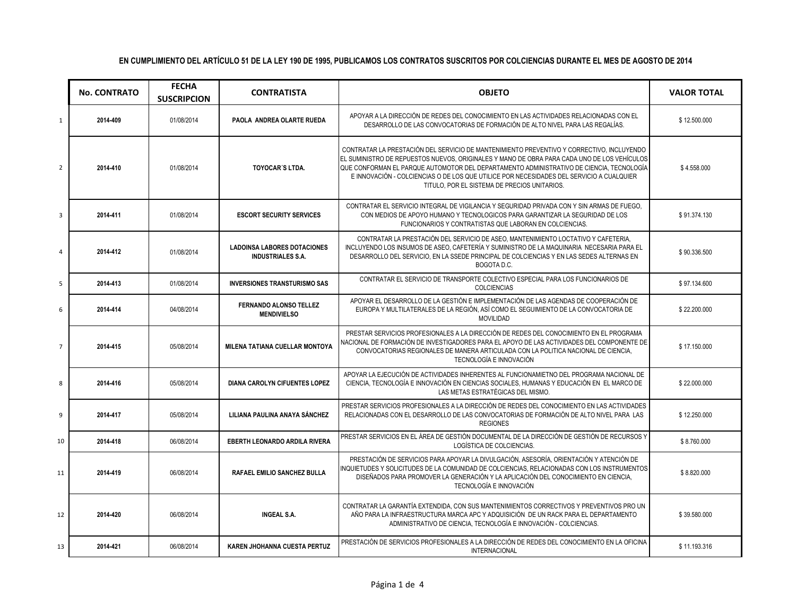|                | <b>No. CONTRATO</b> | <b>FECHA</b><br><b>SUSCRIPCION</b> | <b>CONTRATISTA</b>                                             | <b>OBJETO</b>                                                                                                                                                                                                                                                                                                                                                                                                                    | <b>VALOR TOTAL</b> |
|----------------|---------------------|------------------------------------|----------------------------------------------------------------|----------------------------------------------------------------------------------------------------------------------------------------------------------------------------------------------------------------------------------------------------------------------------------------------------------------------------------------------------------------------------------------------------------------------------------|--------------------|
| $\mathbf{1}$   | 2014-409            | 01/08/2014                         | PAOLA ANDREA OLARTE RUEDA                                      | APOYAR A LA DIRECCIÓN DE REDES DEL CONOCIMIENTO EN LAS ACTIVIDADES RELACIONADAS CON EL<br>DESARROLLO DE LAS CONVOCATORIAS DE FORMACIÓN DE ALTO NIVEL PARA LAS REGALÍAS.                                                                                                                                                                                                                                                          | \$12.500.000       |
| $\overline{2}$ | 2014-410            | 01/08/2014                         | <b>TOYOCAR'S LTDA.</b>                                         | CONTRATAR LA PRESTACIÓN DEL SERVICIO DE MANTENIMIENTO PREVENTIVO Y CORRECTIVO, INCLUYENDO<br>EL SUMINISTRO DE REPUESTOS NUEVOS, ORIGINALES Y MANO DE OBRA PARA CADA UNO DE LOS VEHÍCULOS<br>QUE CONFORMAN EL PARQUE AUTOMOTOR DEL DEPARTAMENTO ADMINISTRATIVO DE CIENCIA, TECNOLOGÍA<br>E INNOVACIÓN - COLCIENCIAS O DE LOS QUE UTILICE POR NECESIDADES DEL SERVICIO A CUALQUIER<br>TITULO, POR EL SISTEMA DE PRECIOS UNITARIOS. | \$4.558.000        |
| 3              | 2014-411            | 01/08/2014                         | <b>ESCORT SECURITY SERVICES</b>                                | CONTRATAR EL SERVICIO INTEGRAL DE VIGILANCIA Y SEGURIDAD PRIVADA CON Y SIN ARMAS DE FUEGO.<br>CON MEDIOS DE APOYO HUMANO Y TECNOLOGICOS PARA GARANTIZAR LA SEGURIDAD DE LOS<br>FUNCIONARIOS Y CONTRATISTAS QUE LABORAN EN COLCIENCIAS.                                                                                                                                                                                           | \$91.374.130       |
| 4              | 2014-412            | 01/08/2014                         | <b>LADOINSA LABORES DOTACIONES</b><br><b>INDUSTRIALES S.A.</b> | CONTRATAR LA PRESTACIÓN DEL SERVICIO DE ASEO. MANTENIMIENTO LOCTATIVO Y CAFETERIA.<br>INCLUYENDO LOS INSUMOS DE ASEO. CAFETERÍA Y SUMINISTRO DE LA MAQUINARIA NECESARIA PARA EL<br>DESARROLLO DEL SERVICIO, EN LA SSEDE PRINCIPAL DE COLCIENCIAS Y EN LAS SEDES ALTERNAS EN<br>BOGOTA D.C.                                                                                                                                       | \$90.336.500       |
| 5              | 2014-413            | 01/08/2014                         | <b>INVERSIONES TRANSTURISMO SAS</b>                            | CONTRATAR EL SERVICIO DE TRANSPORTE COLECTIVO ESPECIAL PARA LOS FUNCIONARIOS DE<br>COLCIENCIAS                                                                                                                                                                                                                                                                                                                                   | \$97.134.600       |
| 6              | 2014-414            | 04/08/2014                         | <b>FERNANDO ALONSO TELLEZ</b><br><b>MENDIVIELSO</b>            | APOYAR EL DESARROLLO DE LA GESTIÓN E IMPLEMENTACIÓN DE LAS AGENDAS DE COOPERACIÓN DE<br>EUROPA Y MULTILATERALES DE LA REGIÓN, ASÍ COMO EL SEGUIMIENTO DE LA CONVOCATORIA DE<br><b>MOVILIDAD</b>                                                                                                                                                                                                                                  | \$22.200.000       |
| $\overline{7}$ | 2014-415            | 05/08/2014                         | <b>MILENA TATIANA CUELLAR MONTOYA</b>                          | PRESTAR SERVICIOS PROFESIONALES A LA DIRECCIÓN DE REDES DEL CONOCIMIENTO EN EL PROGRAMA<br>NACIONAL DE FORMACIÓN DE INVESTIGADORES PARA EL APOYO DE LAS ACTIVIDADES DEL COMPONENTE DE<br>CONVOCATORIAS REGIONALES DE MANERA ARTICULADA CON LA POLITICA NACIONAL DE CIENCIA.<br>TECNOLOGÍA E INNOVACIÓN                                                                                                                           | \$17.150.000       |
| 8              | 2014-416            | 05/08/2014                         | <b>DIANA CAROLYN CIFUENTES LOPEZ</b>                           | APOYAR LA EJECUCIÓN DE ACTIVIDADES INHERENTES AL FUNCIONAMIETNO DEL PROGRAMA NACIONAL DE<br>CIENCIA, TECNOLOGÍA E INNOVACIÓN EN CIENCIAS SOCIALES, HUMANAS Y EDUCACIÓN EN EL MARCO DE<br>LAS METAS ESTRATÉGICAS DEL MISMO.                                                                                                                                                                                                       | \$22.000.000       |
| 9              | 2014-417            | 05/08/2014                         | LILIANA PAULINA ANAYA SÁNCHEZ                                  | PRESTAR SERVICIOS PROFESIONALES A LA DIRECCIÓN DE REDES DEL CONOCIMIENTO EN LAS ACTIVIDADES<br>RELACIONADAS CON EL DESARROLLO DE LAS CONVOCATORIAS DE FORMACIÓN DE ALTO NIVEL PARA LAS<br><b>REGIONES</b>                                                                                                                                                                                                                        | \$12.250.000       |
| 10             | 2014-418            | 06/08/2014                         | <b>EBERTH LEONARDO ARDILA RIVERA</b>                           | PRESTAR SERVICIOS EN EL ÁREA DE GESTIÓN DOCUMENTAL DE LA DIRECCIÓN DE GESTIÓN DE RECURSOS Y<br>LOGÍSTICA DE COLCIENCIAS.                                                                                                                                                                                                                                                                                                         | \$8.760.000        |
| 11             | 2014-419            | 06/08/2014                         | RAFAEL EMILIO SANCHEZ BULLA                                    | PRESTACIÓN DE SERVICIOS PARA APOYAR LA DIVULGACIÓN, ASESORÍA, ORIENTACIÓN Y ATENCIÓN DE<br>INQUIETUDES Y SOLICITUDES DE LA COMUNIDAD DE COLCIENCIAS, RELACIONADAS CON LOS INSTRUMENTOS<br>DISEÑADOS PARA PROMOVER LA GENERACIÓN Y LA APLICACIÓN DEL CONOCIMIENTO EN CIENCIA,<br>TECNOLOGÍA E INNOVACIÓN                                                                                                                          | \$8.820.000        |
| 12             | 2014-420            | 06/08/2014                         | <b>INGEAL S.A.</b>                                             | CONTRATAR LA GARANTÍA EXTENDIDA. CON SUS MANTENIMIENTOS CORRECTIVOS Y PREVENTIVOS PRO UN<br>AÑO PARA LA INFRAESTRUCTURA MARCA APC Y ADQUISICIÓN DE UN RACK PARA EL DEPARTAMENTO<br>ADMINISTRATIVO DE CIENCIA, TECNOLOGÍA E INNOVACIÓN - COLCIENCIAS.                                                                                                                                                                             | \$39.580.000       |
| 13             | 2014-421            | 06/08/2014                         | <b>KAREN JHOHANNA CUESTA PERTUZ</b>                            | PRESTACIÓN DE SERVICIOS PROFESIONALES A LA DIRECCIÓN DE REDES DEL CONOCIMIENTO EN LA OFICINA<br><b>INTERNACIONAL</b>                                                                                                                                                                                                                                                                                                             | \$11.193.316       |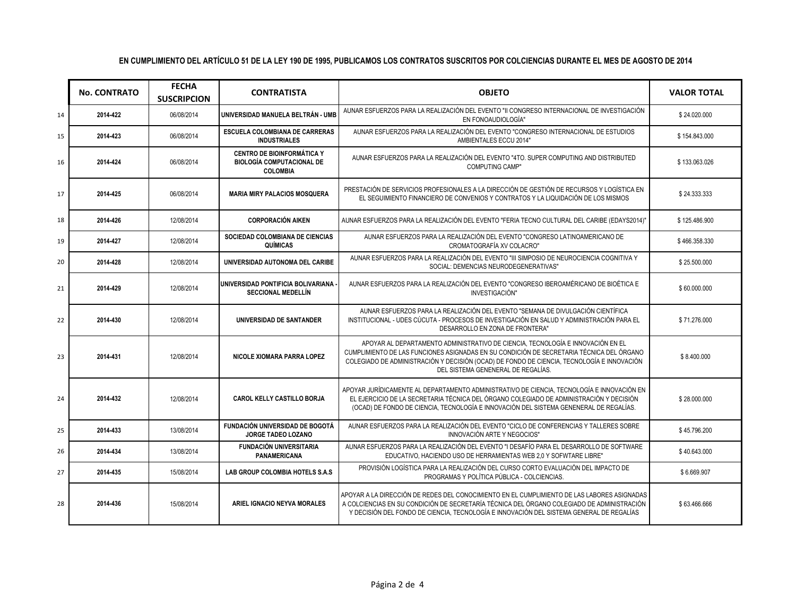|    | <b>No. CONTRATO</b> | <b>FECHA</b><br><b>SUSCRIPCION</b> | <b>CONTRATISTA</b>                                                                       | <b>OBJETO</b>                                                                                                                                                                                                                                                                                                   | <b>VALOR TOTAL</b> |
|----|---------------------|------------------------------------|------------------------------------------------------------------------------------------|-----------------------------------------------------------------------------------------------------------------------------------------------------------------------------------------------------------------------------------------------------------------------------------------------------------------|--------------------|
| 14 | 2014-422            | 06/08/2014                         | UNIVERSIDAD MANUELA BELTRÁN - UMB                                                        | AUNAR ESFUERZOS PARA LA REALIZACIÓN DEL EVENTO "II CONGRESO INTERNACIONAL DE INVESTIGACIÓN<br>EN FONOAUDIOLOGÍA"                                                                                                                                                                                                | \$24.020.000       |
| 15 | 2014-423            | 06/08/2014                         | <b>ESCUELA COLOMBIANA DE CARRERAS</b><br><b>INDUSTRIALES</b>                             | AUNAR ESFUERZOS PARA LA REALIZACIÓN DEL EVENTO "CONGRESO INTERNACIONAL DE ESTUDIOS<br>AMBIENTALES ECCU 2014"                                                                                                                                                                                                    | \$154.843.000      |
| 16 | 2014-424            | 06/08/2014                         | <b>CENTRO DE BIOINFORMÁTICA Y</b><br><b>BIOLOGÍA COMPUTACIONAL DE</b><br><b>COLOMBIA</b> | AUNAR ESFUERZOS PARA LA REALIZACIÓN DEL EVENTO "4TO. SUPER COMPUTING AND DISTRIBUTED<br><b>COMPUTING CAMP"</b>                                                                                                                                                                                                  | \$133.063.026      |
| 17 | 2014-425            | 06/08/2014                         | <b>MARIA MIRY PALACIOS MOSQUERA</b>                                                      | PRESTACIÓN DE SERVICIOS PROFESIONALES A LA DIRECCIÓN DE GESTIÓN DE RECURSOS Y LOGÍSTICA EN<br>EL SEGUIMIENTO FINANCIERO DE CONVENIOS Y CONTRATOS Y LA LIQUIDACIÓN DE LOS MISMOS                                                                                                                                 | \$24.333.333       |
| 18 | 2014-426            | 12/08/2014                         | <b>CORPORACIÓN AIKEN</b>                                                                 | AUNAR ESFUERZOS PARA LA REALIZACIÓN DEL EVENTO "FERIA TECNO CULTURAL DEL CARIBE (EDAYS2014)"                                                                                                                                                                                                                    | \$125.486.900      |
| 19 | 2014-427            | 12/08/2014                         | SOCIEDAD COLOMBIANA DE CIENCIAS<br>QUÍMICAS                                              | AUNAR ESFUERZOS PARA LA REALIZACIÓN DEL EVENTO "CONGRESO LATINOAMERICANO DE<br>CROMATOGRAFÍA XV COLACRO"                                                                                                                                                                                                        | \$466.358.330      |
| 20 | 2014-428            | 12/08/2014                         | UNIVERSIDAD AUTONOMA DEL CARIBE                                                          | AUNAR ESFUERZOS PARA LA REALIZACIÓN DEL EVENTO "III SIMPOSIO DE NEUROCIENCIA COGNITIVA Y<br>SOCIAL: DEMENCIAS NEURODEGENERATIVAS"                                                                                                                                                                               | \$25.500.000       |
| 21 | 2014-429            | 12/08/2014                         | UNIVERSIDAD PONTIFICIA BOLIVARIANA<br><b>SECCIONAL MEDELLÍN</b>                          | AUNAR ESFUERZOS PARA LA REALIZACIÓN DEL EVENTO "CONGRESO IBEROAMÉRICANO DE BIOÉTICA E<br>INVESTIGACIÓN"                                                                                                                                                                                                         | \$60.000.000       |
| 22 | 2014-430            | 12/08/2014                         | UNIVERSIDAD DE SANTANDER                                                                 | AUNAR ESFUERZOS PARA LA REALIZACIÓN DEL EVENTO "SEMANA DE DIVULGACIÓN CIENTÍFICA<br>INSTITUCIONAL - UDES CÚCUTA - PROCESOS DE INVESTIGACIÓN EN SALUD Y ADMINISTRACIÓN PARA EL<br>DESARROLLO EN ZONA DE FRONTERA"                                                                                                | \$71.276.000       |
| 23 | 2014-431            | 12/08/2014                         | NICOLE XIOMARA PARRA LOPEZ                                                               | APOYAR AL DEPARTAMENTO ADMINISTRATIVO DE CIENCIA. TECNOLOGÍA E INNOVACIÓN EN EL<br>CUMPLIMIENTO DE LAS FUNCIONES ASIGNADAS EN SU CONDICIÓN DE SECRETARIA TÉCNICA DEL ÓRGANO<br>COLEGIADO DE ADMINISTRACIÓN Y DECISIÓN (OCAD) DE FONDO DE CIENCIA, TECNOLOGÍA E INNOVACIÓN<br>DEL SISTEMA GENENERAL DE REGALÍAS. | \$8.400.000        |
| 24 | 2014-432            | 12/08/2014                         | CAROL KELLY CASTILLO BORJA                                                               | APOYAR JURÍDICAMENTE AL DEPARTAMENTO ADMINISTRATIVO DE CIENCIA, TECNOLOGÍA E INNOVACIÓN EN<br>EL EJERCICIO DE LA SECRETARIA TÉCNICA DEL ÓRGANO COLEGIADO DE ADMINISTRACIÓN Y DECISIÓN<br>(OCAD) DE FONDO DE CIENCIA, TECNOLOGÍA E INNOVACIÓN DEL SISTEMA GENENERAL DE REGALÍAS.                                 | \$28,000,000       |
| 25 | 2014-433            | 13/08/2014                         | <b>FUNDACIÓN UNIVERSIDAD DE BOGOTÁ</b><br>JORGE TADEO LOZANO                             | AUNAR ESFUERZOS PARA LA REALIZACIÓN DEL EVENTO "CICLO DE CONFERENCIAS Y TALLERES SOBRE<br>INNOVACIÓN ARTE Y NEGOCIOS"                                                                                                                                                                                           | \$45.796.200       |
| 26 | 2014-434            | 13/08/2014                         | <b>FUNDACIÓN UNIVERSITARIA</b><br>PANAMERICANA                                           | AUNAR ESFUERZOS PARA LA REALIZACIÓN DEL EVENTO "I DESAFÍO PARA EL DESARROLLO DE SOFTWARE<br>EDUCATIVO, HACIENDO USO DE HERRAMIENTAS WEB 2,0 Y SOFWTARE LIBRE"                                                                                                                                                   | \$40.643.000       |
| 27 | 2014-435            | 15/08/2014                         | LAB GROUP COLOMBIA HOTELS S.A.S                                                          | PROVISIÓN LOGÍSTICA PARA LA REALIZACIÓN DEL CURSO CORTO EVALUACIÓN DEL IMPACTO DE<br>PROGRAMAS Y POLÍTICA PÚBLICA - COLCIENCIAS.                                                                                                                                                                                | \$6.669.907        |
| 28 | 2014-436            | 15/08/2014                         | ARIEL IGNACIO NEYVA MORALES                                                              | APOYAR A LA DIRECCIÓN DE REDES DEL CONOCIMIENTO EN EL CUMPLIMIENTO DE LAS LABORES ASIGNADAS<br>A COLCIENCIAS EN SU CONDICIÓN DE SECRETARÍA TÉCNICA DEL ÓRGANO COLEGIADO DE ADMINISTRACIÓN<br>Y DECISIÓN DEL FONDO DE CIENCIA, TECNOLOGÍA E INNOVACIÓN DEL SISTEMA GENERAL DE REGALÍAS                           | \$63.466.666       |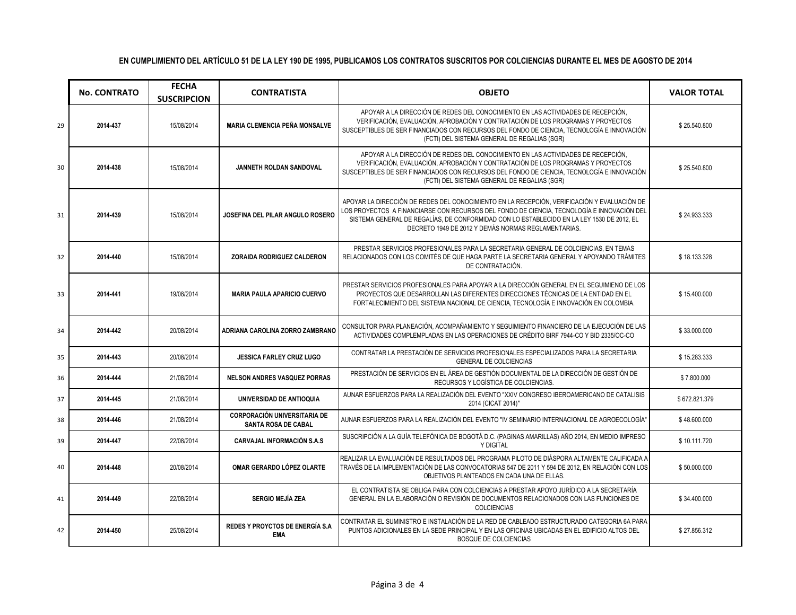|    | <b>No. CONTRATO</b> | <b>FECHA</b><br><b>SUSCRIPCION</b> | <b>CONTRATISTA</b>                                                | <b>OBJETO</b>                                                                                                                                                                                                                                                                                                                                  | <b>VALOR TOTAL</b> |
|----|---------------------|------------------------------------|-------------------------------------------------------------------|------------------------------------------------------------------------------------------------------------------------------------------------------------------------------------------------------------------------------------------------------------------------------------------------------------------------------------------------|--------------------|
| 29 | 2014-437            | 15/08/2014                         | <b>MARIA CLEMENCIA PEÑA MONSALVE</b>                              | APOYAR A LA DIRECCIÓN DE REDES DEL CONOCIMIENTO EN LAS ACTIVIDADES DE RECEPCIÓN,<br>VERIFICACIÓN, EVALUACIÓN, APROBACIÓN Y CONTRATACIÓN DE LOS PROGRAMAS Y PROYECTOS<br>SUSCEPTIBLES DE SER FINANCIADOS CON RECURSOS DEL FONDO DE CIENCIA, TECNOLOGÍA E INNOVACIÓN<br>(FCTI) DEL SISTEMA GENERAL DE REGALIAS (SGR)                             | \$25.540.800       |
| 30 | 2014-438            | 15/08/2014                         | JANNETH ROLDAN SANDOVAL                                           | APOYAR A LA DIRECCIÓN DE REDES DEL CONOCIMIENTO EN LAS ACTIVIDADES DE RECEPCIÓN.<br>VERIFICACIÓN, EVALUACIÓN, APROBACIÓN Y CONTRATACIÓN DE LOS PROGRAMAS Y PROYECTOS<br>SUSCEPTIBLES DE SER FINANCIADOS CON RECURSOS DEL FONDO DE CIENCIA, TECNOLOGÍA E INNOVACIÓN<br>(FCTI) DEL SISTEMA GENERAL DE REGALIAS (SGR)                             | \$25.540.800       |
| 31 | 2014-439            | 15/08/2014                         | JOSEFINA DEL PILAR ANGULO ROSERO                                  | APOYAR LA DIRECCIÓN DE REDES DEL CONOCIMIENTO EN LA RECEPCIÓN, VERIFICACIÓN Y EVALUACIÓN DE<br>LOS PROYECTOS  A FINANCIARSE CON RECURSOS DEL FONDO DE CIENCIA, TECNOLOGÍA E INNOVACIÓN DEL<br>SISTEMA GENERAL DE REGALÍAS, DE CONFORMIDAD CON LO ESTABLECIDO EN LA LEY 1530 DE 2012, EL<br>DECRETO 1949 DE 2012 Y DEMÁS NORMAS REGLAMENTARIAS. | \$24.933.333       |
| 32 | 2014-440            | 15/08/2014                         | ZORAIDA RODRIGUEZ CALDERON                                        | PRESTAR SERVICIOS PROFESIONALES PARA LA SECRETARIA GENERAL DE COLCIENCIAS. EN TEMAS<br>RELACIONADOS CON LOS COMITÉS DE QUE HAGA PARTE LA SECRETARIA GENERAL Y APOYANDO TRÁMITES<br>DE CONTRATACIÓN.                                                                                                                                            | \$18.133.328       |
| 33 | 2014-441            | 19/08/2014                         | <b>MARIA PAULA APARICIO CUERVO</b>                                | PRESTAR SERVICIOS PROFESIONALES PARA APOYAR A LA DIRECCIÓN GENERAL EN EL SEGUIMIENO DE LOS<br>PROYECTOS QUE DESARROLLAN LAS DIFERENTES DIRECCIONES TÉCNICAS DE LA ENTIDAD EN EL<br>FORTALECIMIENTO DEL SISTEMA NACIONAL DE CIENCIA, TECNOLOGÍA E INNOVACIÓN EN COLOMBIA.                                                                       | \$15.400.000       |
| 34 | 2014-442            | 20/08/2014                         | ADRIANA CAROLINA ZORRO ZAMBRANO                                   | CONSULTOR PARA PLANEACIÓN, ACOMPAÑAMIENTO Y SEGUIMIENTO FINANCIERO DE LA EJECUCIÓN DE LAS<br>ACTIVIDADES COMPLEMPLADAS EN LAS OPERACIONES DE CRÉDITO BIRF 7944-CO Y BID 2335/OC-CO                                                                                                                                                             | \$33.000.000       |
| 35 | 2014-443            | 20/08/2014                         | <b>JESSICA FARLEY CRUZ LUGO</b>                                   | CONTRATAR LA PRESTACIÓN DE SERVICIOS PROFESIONALES ESPECIALIZADOS PARA LA SECRETARIA<br>GENERAL DE COLCIENCIAS                                                                                                                                                                                                                                 | \$15.283.333       |
| 36 | 2014-444            | 21/08/2014                         | <b>NELSON ANDRES VASQUEZ PORRAS</b>                               | PRESTACIÓN DE SERVICIOS EN EL ÁREA DE GESTIÓN DOCUMENTAL DE LA DIRECCIÓN DE GESTIÓN DE<br>RECURSOS Y LOGÍSTICA DE COLCIENCIAS.                                                                                                                                                                                                                 | \$7.800.000        |
| 37 | 2014-445            | 21/08/2014                         | UNIVERSIDAD DE ANTIOQUIA                                          | AUNAR ESFUERZOS PARA LA REALIZACIÓN DEL EVENTO "XXIV CONGRESO IBEROAMERICANO DE CATALISIS<br>2014 (CICAT 2014)"                                                                                                                                                                                                                                | \$672.821.379      |
| 38 | 2014-446            | 21/08/2014                         | <b>CORPORACIÓN UNIVERSITARIA DE</b><br><b>SANTA ROSA DE CABAL</b> | AUNAR ESFUERZOS PARA LA REALIZACIÓN DEL EVENTO "IV SEMINARIO INTERNACIONAL DE AGROECOLOGÍA"                                                                                                                                                                                                                                                    | \$48.600.000       |
| 39 | 2014-447            | 22/08/2014                         | <b>CARVAJAL INFORMACIÓN S.A.S</b>                                 | SUSCRIPCIÓN A LA GUÍA TELEFÓNICA DE BOGOTÁ D.C. (PAGINAS AMARILLAS) AÑO 2014, EN MEDIO IMPRESO<br>Y DIGITAL                                                                                                                                                                                                                                    | \$10.111.720       |
| 40 | 2014-448            | 20/08/2014                         | OMAR GERARDO LÓPEZ OLARTE                                         | REALIZAR LA EVALUACIÓN DE RESULTADOS DEL PROGRAMA PILOTO DE DIÁSPORA ALTAMENTE CALIFICADA A<br>TRAVÉS DE LA IMPLEMENTACIÓN DE LAS CONVOCATORIAS 547 DE 2011 Y 594 DE 2012, EN RELACIÓN CON LOS<br>OBJETIVOS PLANTEADOS EN CADA UNA DE ELLAS.                                                                                                   | \$50.000.000       |
| 41 | 2014-449            | 22/08/2014                         | <b>SERGIO MEJÍA ZEA</b>                                           | EL CONTRATISTA SE OBLIGA PARA CON COLCIENCIAS A PRESTAR APOYO JURÍDICO A LA SECRETARÍA<br>GENERAL EN LA ELABORACIÓN O REVISIÓN DE DOCUMENTOS RELACIONADOS CON LAS FUNCIONES DE<br><b>COLCIENCIAS</b>                                                                                                                                           | \$34.400.000       |
| 42 | 2014-450            | 25/08/2014                         | REDES Y PROYCTOS DE ENERGÍA S.A<br>EMA                            | CONTRATAR EL SUMINISTRO E INSTALACIÓN DE LA RED DE CABLEADO ESTRUCTURADO CATEGORIA 6A PARA<br>PUNTOS ADICIONALES EN LA SEDE PRINCIPAL Y EN LAS OFICINAS UBICADAS EN EL EDIFICIO ALTOS DEL<br><b>BOSQUE DE COLCIENCIAS</b>                                                                                                                      | \$27.856.312       |